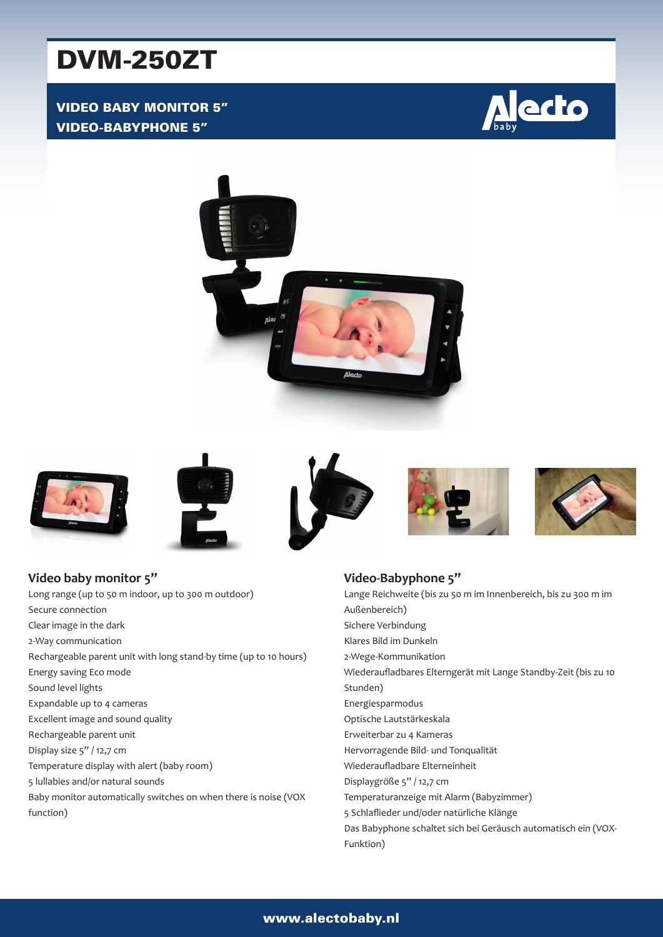# DVM-250ZT

## VIDEO BABY MONITOR 5" VIDEO-BABYPHONE 5"















**Video baby monitor 5"** Long range (up to 50 m indoor, up to 300 m outdoor) Secure connection Clear image in the dark 2-Way communication Rechargeable parent unit with long stand-by time (up to 10 hours) Energy saving Eco mode Sound level lights Expandable up to 4 cameras Excellent image and sound quality Rechargeable parent unit Display size 5" / 12,7 cm Temperature display with alert (baby room) 5 lullabies and/or natural sounds Baby monitor automatically switches on when there is noise (VOX function)

#### **Video-Babyphone 5"** Lange Reichweite (bis zu 50 m im Innenbereich, bis zu 300 m im Außenbereich) Sichere Verbindung Klares Bild im Dunkeln 2-Wege-Kommunikation Wiederaufladbares Elterngerät mit Lange Standby-Zeit (bis zu 10 Stunden) Energiesparmodus Optische Lautstärkeskala Erweiterbar zu 4 Kameras Hervorragende Bild- und Tonqualität Wiederaufladbare Elterneinheit Displaygröße 5" / 12,7 cm Temperaturanzeige mit Alarm (Babyzimmer) 5 Schlaflieder und/oder natürliche Klänge Das Babyphone schaltet sich bei Geräusch automatisch ein (VOX-Funktion)

#### www.alectobaby.nl